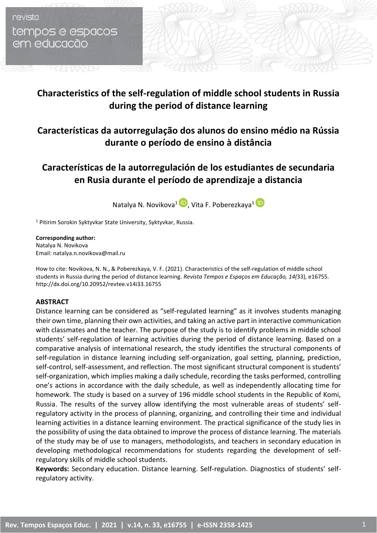# revista tempos e espacos em educacão

aaaaas

# **Characteristics of the self-regulation of middle school students in Russia during the period of distance learning**

### **Características da autorregulação dos alunos do ensino médio na Rússia durante o período de ensino à distância**

## **Características de la autorregulación de los estudiantes de secundaria en Rusia durante el período de aprendizaje a distancia**

Natalya N. Novikova<sup>1</sup> , Vita F. Poberezkaya**<sup>1</sup>**

<sup>1</sup> Pitirim Sorokin Syktyvkar State University, Syktyvkar, Russia.

**Corresponding author:** Natalya N. Novikova Email: natalya.n.novikova@mail.ru

How to cite: Novikova, N. N., & Poberezkaya, V. F. (2021). Characteristics of the self-regulation of middle school students in Russia during the period of distance learning. *Revista Tempos e Espaços em Educação, 14(*33), e16755. http://dx.doi.org/10.20952/revtee.v14i33.16755

### **ABSTRACT**

Distance learning can be considered as "self-regulated learning" as it involves students managing their own time, planning their own activities, and taking an active part in interactive communication with classmates and the teacher. The purpose of the study is to identify problems in middle school students' self-regulation of learning activities during the period of distance learning. Based on a comparative analysis of international research, the study identifies the structural components of self-regulation in distance learning including self-organization, goal setting, planning, prediction, self-control, self-assessment, and reflection. The most significant structural component is students' self-organization, which implies making a daily schedule, recording the tasks performed, controlling one's actions in accordance with the daily schedule, as well as independently allocating time for homework. The study is based on a survey of 196 middle school students in the Republic of Komi, Russia. The results of the survey allow identifying the most vulnerable areas of students' selfregulatory activity in the process of planning, organizing, and controlling their time and individual learning activities in a distance learning environment. The practical significance of the study lies in the possibility of using the data obtained to improve the process of distance learning. The materials of the study may be of use to managers, methodologists, and teachers in secondary education in developing methodological recommendations for students regarding the development of selfregulatory skills of middle school students.

**Keywords:** Secondary education. Distance learning. Self-regulation. Diagnostics of students' selfregulatory activity.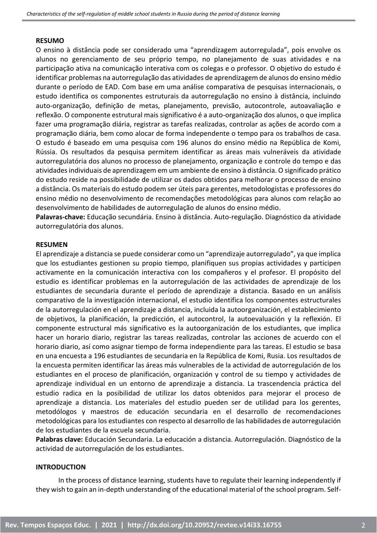#### **RESUMO**

O ensino à distância pode ser considerado uma "aprendizagem autorregulada", pois envolve os alunos no gerenciamento de seu próprio tempo, no planejamento de suas atividades e na participação ativa na comunicação interativa com os colegas e o professor. O objetivo do estudo é identificar problemas na autorregulação das atividades de aprendizagem de alunos do ensino médio durante o período de EAD. Com base em uma análise comparativa de pesquisas internacionais, o estudo identifica os componentes estruturais da autorregulação no ensino à distância, incluindo auto-organização, definição de metas, planejamento, previsão, autocontrole, autoavaliação e reflexão. O componente estrutural mais significativo é a auto-organização dos alunos, o que implica fazer uma programação diária, registrar as tarefas realizadas, controlar as ações de acordo com a programação diária, bem como alocar de forma independente o tempo para os trabalhos de casa. O estudo é baseado em uma pesquisa com 196 alunos do ensino médio na República de Komi, Rússia. Os resultados da pesquisa permitem identificar as áreas mais vulneráveis da atividade autorregulatória dos alunos no processo de planejamento, organização e controle do tempo e das atividades individuais de aprendizagem em um ambiente de ensino à distância. O significado prático do estudo reside na possibilidade de utilizar os dados obtidos para melhorar o processo de ensino a distância. Os materiais do estudo podem ser úteis para gerentes, metodologistas e professores do ensino médio no desenvolvimento de recomendações metodológicas para alunos com relação ao desenvolvimento de habilidades de autorregulação de alunos do ensino médio.

**Palavras-chave:** Educação secundária. Ensino à distância. Auto-regulação. Diagnóstico da atividade autorregulatória dos alunos.

### **RESUMEN**

El aprendizaje a distancia se puede considerar como un "aprendizaje autorregulado", ya que implica que los estudiantes gestionen su propio tiempo, planifiquen sus propias actividades y participen activamente en la comunicación interactiva con los compañeros y el profesor. El propósito del estudio es identificar problemas en la autorregulación de las actividades de aprendizaje de los estudiantes de secundaria durante el período de aprendizaje a distancia. Basado en un análisis comparativo de la investigación internacional, el estudio identifica los componentes estructurales de la autorregulación en el aprendizaje a distancia, incluida la autoorganización, el establecimiento de objetivos, la planificación, la predicción, el autocontrol, la autoevaluación y la reflexión. El componente estructural más significativo es la autoorganización de los estudiantes, que implica hacer un horario diario, registrar las tareas realizadas, controlar las acciones de acuerdo con el horario diario, así como asignar tiempo de forma independiente para las tareas. El estudio se basa en una encuesta a 196 estudiantes de secundaria en la República de Komi, Rusia. Los resultados de la encuesta permiten identificar las áreas más vulnerables de la actividad de autorregulación de los estudiantes en el proceso de planificación, organización y control de su tiempo y actividades de aprendizaje individual en un entorno de aprendizaje a distancia. La trascendencia práctica del estudio radica en la posibilidad de utilizar los datos obtenidos para mejorar el proceso de aprendizaje a distancia. Los materiales del estudio pueden ser de utilidad para los gerentes, metodólogos y maestros de educación secundaria en el desarrollo de recomendaciones metodológicas para los estudiantes con respecto al desarrollo de las habilidades de autorregulación de los estudiantes de la escuela secundaria.

**Palabras clave:** Educación Secundaria. La educación a distancia. Autorregulación. Diagnóstico de la actividad de autorregulación de los estudiantes.

### **INTRODUCTION**

In the process of distance learning, students have to regulate their learning independently if they wish to gain an in-depth understanding of the educational material of the school program. Self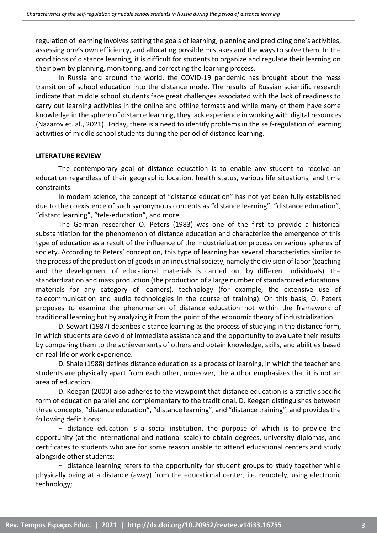regulation of learning involves setting the goals of learning, planning and predicting one's activities, assessing one's own efficiency, and allocating possible mistakes and the ways to solve them. In the conditions of distance learning, it is difficult for students to organize and regulate their learning on their own by planning, monitoring, and correcting the learning process.

In Russia and around the world, the COVID-19 pandemic has brought about the mass transition of school education into the distance mode. The results of Russian scientific research indicate that middle school students face great challenges associated with the lack of readiness to carry out learning activities in the online and offline formats and while many of them have some knowledge in the sphere of distance learning, they lack experience in working with digital resources (Nazarov et. al., 2021). Today, there is a need to identify problems in the self-regulation of learning activities of middle school students during the period of distance learning.

#### **LITERATURE REVIEW**

The contemporary goal of distance education is to enable any student to receive an education regardless of their geographic location, health status, various life situations, and time constraints.

In modern science, the concept of "distance education" has not yet been fully established due to the coexistence of such synonymous concepts as "distance learning", "distance education", "distant learning", "tele-education", and more.

The German researcher O. Peters (1983) was one of the first to provide a historical substantiation for the phenomenon of distance education and characterize the emergence of this type of education as a result of the influence of the industrialization process on various spheres of society. According to Peters' conception, this type of learning has several characteristics similar to the process of the production of goods in an industrial society, namely the division of labor (teaching and the development of educational materials is carried out by different individuals), the standardization and mass production (the production of a large number of standardized educational materials for any category of learners), technology (for example, the extensive use of telecommunication and audio technologies in the course of training). On this basis, O. Peters proposes to examine the phenomenon of distance education not within the framework of traditional learning but by analyzing it from the point of the economic theory of industrialization.

D. Sewart (1987) describes distance learning as the process of studying in the distance form, in which students are devoid of immediate assistance and the opportunity to evaluate their results by comparing them to the achievements of others and obtain knowledge, skills, and abilities based on real-life or work experience.

D. Shale (1988) defines distance education as a process of learning, in which the teacher and students are physically apart from each other, moreover, the author emphasizes that it is not an area of education.

D. Keegan (2000) also adheres to the viewpoint that distance education is a strictly specific form of education parallel and complementary to the traditional. D. Keegan distinguishes between three concepts, "distance education", "distance learning", and "distance training", and provides the following definitions:

− distance education is a social institution, the purpose of which is to provide the opportunity (at the international and national scale) to obtain degrees, university diplomas, and certificates to students who are for some reason unable to attend educational centers and study alongside other students;

− distance learning refers to the opportunity for student groups to study together while physically being at a distance (away) from the educational center, i.e. remotely, using electronic technology;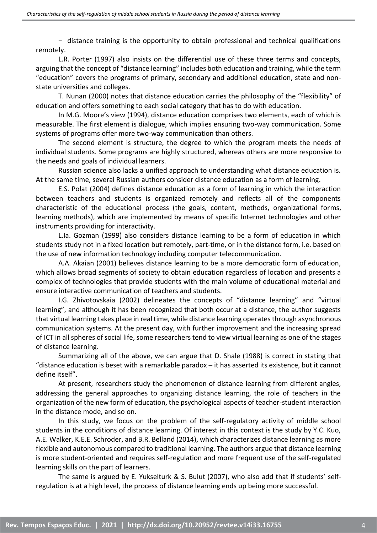− distance training is the opportunity to obtain professional and technical qualifications remotely.

L.R. Porter (1997) also insists on the differential use of these three terms and concepts, arguing that the concept of "distance learning" includes both education and training, while the term "education" covers the programs of primary, secondary and additional education, state and nonstate universities and colleges.

T. Nunan (2000) notes that distance education carries the philosophy of the "flexibility" of education and offers something to each social category that has to do with education.

In M.G. Moore's view (1994), distance education comprises two elements, each of which is measurable. The first element is dialogue, which implies ensuring two-way communication. Some systems of programs offer more two-way communication than others.

The second element is structure, the degree to which the program meets the needs of individual students. Some programs are highly structured, whereas others are more responsive to the needs and goals of individual learners.

Russian science also lacks a unified approach to understanding what distance education is. At the same time, several Russian authors consider distance education as a form of learning.

E.S. Polat (2004) defines distance education as a form of learning in which the interaction between teachers and students is organized remotely and reflects all of the components characteristic of the educational process (the goals, content, methods, organizational forms, learning methods), which are implemented by means of specific Internet technologies and other instruments providing for interactivity.

L.Ia. Gozman (1999) also considers distance learning to be a form of education in which students study not in a fixed location but remotely, part-time, or in the distance form, i.e. based on the use of new information technology including computer telecommunication.

A.A. Akaian (2001) believes distance learning to be a more democratic form of education, which allows broad segments of society to obtain education regardless of location and presents a complex of technologies that provide students with the main volume of educational material and ensure interactive communication of teachers and students.

I.G. Zhivotovskaia (2002) delineates the concepts of "distance learning" and "virtual learning", and although it has been recognized that both occur at a distance, the author suggests that virtual learning takes place in real time, while distance learning operates through asynchronous communication systems. At the present day, with further improvement and the increasing spread of ICT in all spheres of social life, some researchers tend to view virtual learning as one of the stages of distance learning.

Summarizing all of the above, we can argue that D. Shale (1988) is correct in stating that "distance education is beset with a remarkable paradox – it has asserted its existence, but it cannot define itself".

At present, researchers study the phenomenon of distance learning from different angles, addressing the general approaches to organizing distance learning, the role of teachers in the organization of the new form of education, the psychological aspects of teacher-student interaction in the distance mode, and so on.

In this study, we focus on the problem of the self-regulatory activity of middle school students in the conditions of distance learning. Of interest in this context is the study by Y.C. Kuo, A.E. Walker, K.E.E. Schroder, and B.R. Belland (2014), which characterizes distance learning as more flexible and autonomous compared to traditional learning. The authors argue that distance learning is more student-oriented and requires self-regulation and more frequent use of the self-regulated learning skills on the part of learners.

The same is argued by E. Yukselturk & S. Bulut (2007), who also add that if students' selfregulation is at a high level, the process of distance learning ends up being more successful.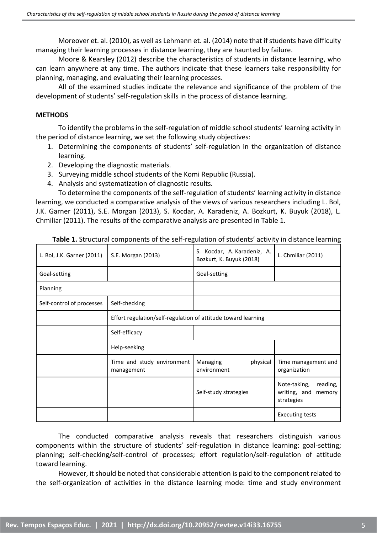Moreover et. al. (2010), as well as Lehmann et. al. (2014) note that if students have difficulty managing their learning processes in distance learning, they are haunted by failure.

Moore & Kearsley (2012) describe the characteristics of students in distance learning, who can learn anywhere at any time. The authors indicate that these learners take responsibility for planning, managing, and evaluating their learning processes.

All of the examined studies indicate the relevance and significance of the problem of the development of students' self-regulation skills in the process of distance learning.

### **METHODS**

To identify the problems in the self-regulation of middle school students' learning activity in the period of distance learning, we set the following study objectives:

- 1. Determining the components of students' self-regulation in the organization of distance learning.
- 2. Developing the diagnostic materials.
- 3. Surveying middle school students of the Komi Republic (Russia).
- 4. Analysis and systematization of diagnostic results.

To determine the components of the self-regulation of students' learning activity in distance learning, we conducted a comparative analysis of the views of various researchers including L. Bol, J.K. Garner (2011), S.E. Morgan (2013), S. Kocdar, A. Karadeniz, A. Bozkurt, K. Buyuk (2018), L. Chmiliar (2011). The results of the comparative analysis are presented in Table 1.

| L. Bol, J.K. Garner (2011) | S.E. Morgan (2013)                                            | S. Kocdar, A. Karadeniz, A.<br>Bozkurt, K. Buyuk (2018) | L. Chmiliar (2011)                                               |
|----------------------------|---------------------------------------------------------------|---------------------------------------------------------|------------------------------------------------------------------|
| Goal-setting               |                                                               | Goal-setting                                            |                                                                  |
| Planning                   |                                                               |                                                         |                                                                  |
| Self-control of processes  | Self-checking                                                 |                                                         |                                                                  |
|                            | Effort regulation/self-regulation of attitude toward learning |                                                         |                                                                  |
|                            | Self-efficacy                                                 |                                                         |                                                                  |
|                            | Help-seeking                                                  |                                                         |                                                                  |
|                            | Time and study environment<br>management                      | Managing<br>physical<br>environment                     | Time management and<br>organization                              |
|                            |                                                               | Self-study strategies                                   | Note-taking,<br>reading,<br>writing, and<br>memory<br>strategies |
|                            |                                                               |                                                         | <b>Executing tests</b>                                           |

**Table 1.** Structural components of the self-regulation of students' activity in distance learning

The conducted comparative analysis reveals that researchers distinguish various components within the structure of students' self-regulation in distance learning: goal-setting; planning; self-checking/self-control of processes; effort regulation/self-regulation of attitude toward learning.

However, it should be noted that considerable attention is paid to the component related to the self-organization of activities in the distance learning mode: time and study environment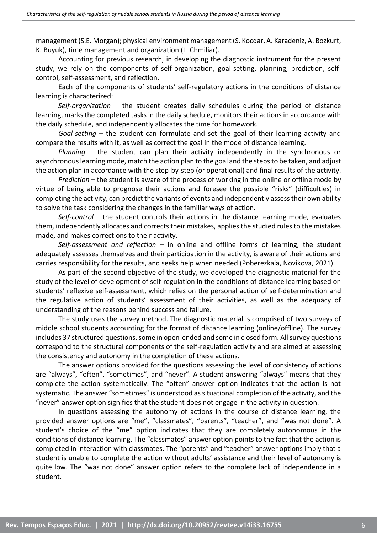management (S.E. Morgan); physical environment management (S. Kocdar, A. Karadeniz, A. Bozkurt, K. Buyuk), time management and organization (L. Chmiliar).

Accounting for previous research, in developing the diagnostic instrument for the present study, we rely on the components of self-organization, goal-setting, planning, prediction, selfcontrol, self-assessment, and reflection.

Each of the components of students' self-regulatory actions in the conditions of distance learning is characterized:

*Self-organization –* the student creates daily schedules during the period of distance learning, marks the completed tasks in the daily schedule, monitors their actions in accordance with the daily schedule, and independently allocates the time for homework.

*Goal-setting* – the student can formulate and set the goal of their learning activity and compare the results with it, as well as correct the goal in the mode of distance learning.

*Planning* – the student can plan their activity independently in the synchronous or asynchronous learning mode, match the action plan to the goal and the steps to be taken, and adjust the action plan in accordance with the step-by-step (or operational) and final results of the activity.

*Prediction* – the student is aware of the process of working in the online or offline mode by virtue of being able to prognose their actions and foresee the possible "risks" (difficulties) in completing the activity, can predict the variants of events and independently assess their own ability to solve the task considering the changes in the familiar ways of action.

*Self-control* – the student controls their actions in the distance learning mode, evaluates them, independently allocates and corrects their mistakes, applies the studied rules to the mistakes made, and makes corrections to their activity.

*Self-assessment and reflection* – in online and offline forms of learning, the student adequately assesses themselves and their participation in the activity, is aware of their actions and carries responsibility for the results, and seeks help when needed (Poberezkaia, Novikova, 2021).

As part of the second objective of the study, we developed the diagnostic material for the study of the level of development of self-regulation in the conditions of distance learning based on students' reflexive self-assessment, which relies on the personal action of self-determination and the regulative action of students' assessment of their activities, as well as the adequacy of understanding of the reasons behind success and failure.

The study uses the survey method. The diagnostic material is comprised of two surveys of middle school students accounting for the format of distance learning (online/offline). The survey includes 37 structured questions, some in open-ended and some in closed form. All survey questions correspond to the structural components of the self-regulation activity and are aimed at assessing the consistency and autonomy in the completion of these actions.

The answer options provided for the questions assessing the level of consistency of actions are "always", "often", "sometimes", and "never". A student answering "always" means that they complete the action systematically. The "often" answer option indicates that the action is not systematic. The answer "sometimes" is understood as situational completion of the activity, and the "never" answer option signifies that the student does not engage in the activity in question.

In questions assessing the autonomy of actions in the course of distance learning, the provided answer options are "me", "classmates", "parents", "teacher", and "was not done". A student's choice of the "me" option indicates that they are completely autonomous in the conditions of distance learning. The "classmates" answer option points to the fact that the action is completed in interaction with classmates. The "parents" and "teacher" answer options imply that a student is unable to complete the action without adults' assistance and their level of autonomy is quite low. The "was not done" answer option refers to the complete lack of independence in a student.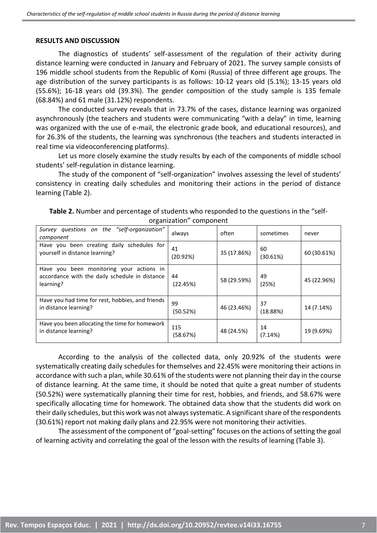#### **RESULTS AND DISCUSSION**

The diagnostics of students' self-assessment of the regulation of their activity during distance learning were conducted in January and February of 2021. The survey sample consists of 196 middle school students from the Republic of Komi (Russia) of three different age groups. The age distribution of the survey participants is as follows: 10-12 years old (5.1%); 13-15 years old (55.6%); 16-18 years old (39.3%). The gender composition of the study sample is 135 female (68.84%) and 61 male (31.12%) respondents.

The conducted survey reveals that in 73.7% of the cases, distance learning was organized asynchronously (the teachers and students were communicating "with a delay" in time, learning was organized with the use of e-mail, the electronic grade book, and educational resources), and for 26.3% of the students, the learning was synchronous (the teachers and students interacted in real time via videoconferencing platforms).

Let us more closely examine the study results by each of the components of middle school students' self-regulation in distance learning.

The study of the component of "self-organization" involves assessing the level of students' consistency in creating daily schedules and monitoring their actions in the period of distance learning (Table 2).

| Survey questions on the "self-organization"<br>component                                                | always          | often       | sometimes      | never       |
|---------------------------------------------------------------------------------------------------------|-----------------|-------------|----------------|-------------|
| Have you been creating daily schedules for<br>yourself in distance learning?                            | 41<br>(20.92%)  | 35 (17.86%) | 60<br>(30.61%) | 60 (30.61%) |
| Have you been monitoring your actions in<br>accordance with the daily schedule in distance<br>learning? | 44<br>(22.45%)  | 58 (29.59%) | 49<br>(25%)    | 45 (22.96%) |
| Have you had time for rest, hobbies, and friends<br>in distance learning?                               | 99<br>(50.52%)  | 46 (23.46%) | 37<br>(18.88%) | 14 (7.14%)  |
| Have you been allocating the time for homework<br>in distance learning?                                 | 115<br>(58.67%) | 48 (24.5%)  | 14<br>(7.14%)  | 19 (9.69%)  |

**Table 2.** Number and percentage of students who responded to the questions in the "selforganization" component

According to the analysis of the collected data, only 20.92% of the students were systematically creating daily schedules for themselves and 22.45% were monitoring their actions in accordance with such a plan, while 30.61% of the students were not planning their day in the course of distance learning. At the same time, it should be noted that quite a great number of students (50.52%) were systematically planning their time for rest, hobbies, and friends, and 58.67% were specifically allocating time for homework. The obtained data show that the students did work on their daily schedules, but this work was not always systematic. A significant share of the respondents (30.61%) report not making daily plans and 22.95% were not monitoring their activities.

The assessment of the component of "goal-setting" focuses on the actions of setting the goal of learning activity and correlating the goal of the lesson with the results of learning (Table 3).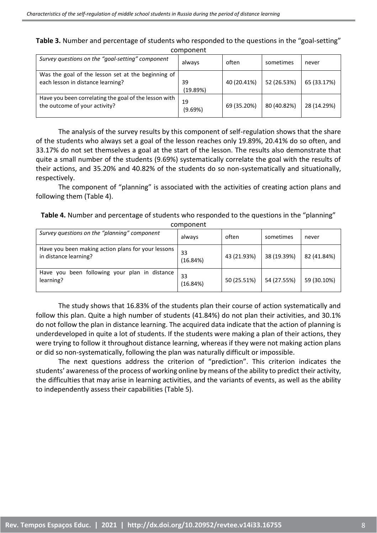| <b>Table 3.</b> Number and percentage of students who responded to the questions in the "goal-setting" |  |
|--------------------------------------------------------------------------------------------------------|--|
| component                                                                                              |  |

| Survey questions on the "goal-setting" component                                        | always         | often       | sometimes   | never       |
|-----------------------------------------------------------------------------------------|----------------|-------------|-------------|-------------|
| Was the goal of the lesson set at the beginning of<br>each lesson in distance learning? | 39<br>(19.89%) | 40 (20.41%) | 52 (26.53%) | 65 (33.17%) |
| Have you been correlating the goal of the lesson with<br>the outcome of your activity?  | 19<br>(9.69%)  | 69 (35.20%) | 80 (40.82%) | 28 (14.29%) |

The analysis of the survey results by this component of self-regulation shows that the share of the students who always set a goal of the lesson reaches only 19.89%, 20.41% do so often, and 33.17% do not set themselves a goal at the start of the lesson. The results also demonstrate that quite a small number of the students (9.69%) systematically correlate the goal with the results of their actions, and 35.20% and 40.82% of the students do so non-systematically and situationally, respectively.

The component of "planning" is associated with the activities of creating action plans and following them (Table 4).

| <b>Table 4.</b> Number and percentage of students who responded to the questions in the "planning" |  |
|----------------------------------------------------------------------------------------------------|--|
| component                                                                                          |  |

|                                                                             | 00000000000    |             |             |             |
|-----------------------------------------------------------------------------|----------------|-------------|-------------|-------------|
| Survey questions on the "planning" component                                | always         | often       | sometimes   | never       |
| Have you been making action plans for your lessons<br>in distance learning? | 33<br>(16.84%) | 43 (21.93%) | 38 (19.39%) | 82 (41.84%) |
| Have you been following your plan in distance<br>learning?                  | 33<br>(16.84%) | 50 (25.51%) | 54 (27.55%) | 59 (30.10%) |

The study shows that 16.83% of the students plan their course of action systematically and follow this plan. Quite a high number of students (41.84%) do not plan their activities, and 30.1% do not follow the plan in distance learning. The acquired data indicate that the action of planning is underdeveloped in quite a lot of students. If the students were making a plan of their actions, they were trying to follow it throughout distance learning, whereas if they were not making action plans or did so non-systematically, following the plan was naturally difficult or impossible.

The next questions address the criterion of "prediction". This criterion indicates the students' awareness of the process of working online by means of the ability to predict their activity, the difficulties that may arise in learning activities, and the variants of events, as well as the ability to independently assess their capabilities (Table 5).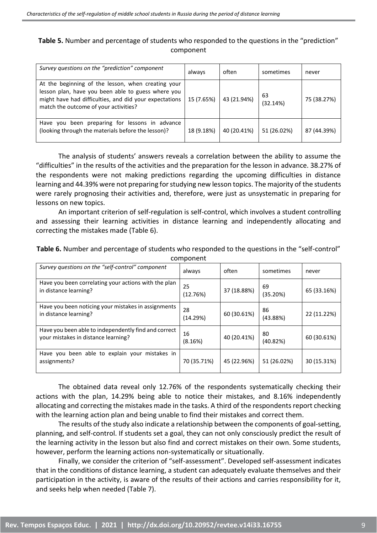### **Table 5.** Number and percentage of students who responded to the questions in the "prediction" component

| Survey questions on the "prediction" component                                                                                                                                                              | always     | often       | sometimes      | never       |
|-------------------------------------------------------------------------------------------------------------------------------------------------------------------------------------------------------------|------------|-------------|----------------|-------------|
| At the beginning of the lesson, when creating your<br>lesson plan, have you been able to guess where you<br>might have had difficulties, and did your expectations<br>match the outcome of your activities? | 15 (7.65%) | 43 (21.94%) | 63<br>(32.14%) | 75 (38.27%) |
| Have you been preparing for lessons in advance<br>(looking through the materials before the lesson)?                                                                                                        | 18 (9.18%) | 40 (20.41%) | 51 (26.02%)    | 87 (44.39%) |

The analysis of students' answers reveals a correlation between the ability to assume the "difficulties" in the results of the activities and the preparation for the lesson in advance. 38.27% of the respondents were not making predictions regarding the upcoming difficulties in distance learning and 44.39% were not preparing for studying new lesson topics. The majority of the students were rarely prognosing their activities and, therefore, were just as unsystematic in preparing for lessons on new topics.

An important criterion of self-regulation is self-control, which involves a student controlling and assessing their learning activities in distance learning and independently allocating and correcting the mistakes made (Table 6).

| <b>COMPONEM</b>                                                                             |                |             |                |             |
|---------------------------------------------------------------------------------------------|----------------|-------------|----------------|-------------|
| Survey questions on the "self-control" component                                            | always         | often       | sometimes      | never       |
| Have you been correlating your actions with the plan<br>in distance learning?               | 25<br>(12.76%) | 37 (18.88%) | 69<br>(35.20%) | 65 (33.16%) |
| Have you been noticing your mistakes in assignments<br>in distance learning?                | 28<br>(14.29%) | 60 (30.61%) | 86<br>(43.88%) | 22 (11.22%) |
| Have you been able to independently find and correct<br>your mistakes in distance learning? | 16<br>(8.16%)  | 40 (20.41%) | 80<br>(40.82%) | 60 (30.61%) |
| Have you been able to explain your mistakes in<br>assignments?                              | 70 (35.71%)    | 45 (22.96%) | 51 (26.02%)    | 30 (15.31%) |

**Table 6.** Number and percentage of students who responded to the questions in the "self-control" component

The obtained data reveal only 12.76% of the respondents systematically checking their actions with the plan, 14.29% being able to notice their mistakes, and 8.16% independently allocating and correcting the mistakes made in the tasks. A third of the respondents report checking with the learning action plan and being unable to find their mistakes and correct them.

The results of the study also indicate a relationship between the components of goal-setting, planning, and self-control. If students set a goal, they can not only consciously predict the result of the learning activity in the lesson but also find and correct mistakes on their own. Some students, however, perform the learning actions non-systematically or situationally.

Finally, we consider the criterion of "self-assessment". Developed self-assessment indicates that in the conditions of distance learning, a student can adequately evaluate themselves and their participation in the activity, is aware of the results of their actions and carries responsibility for it, and seeks help when needed (Table 7).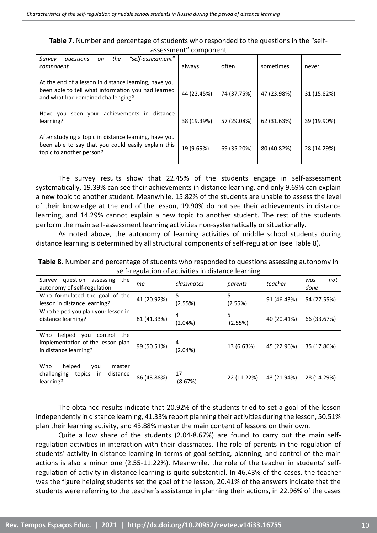| <b>Table 7.</b> Number and percentage of students who responded to the questions in the "self- |  |
|------------------------------------------------------------------------------------------------|--|
| assessment" component                                                                          |  |

| "self-assessment"<br>the<br>questions<br>Survey<br>on<br>component                                                                                | always      | often       | sometimes   | never       |
|---------------------------------------------------------------------------------------------------------------------------------------------------|-------------|-------------|-------------|-------------|
| At the end of a lesson in distance learning, have you<br>been able to tell what information you had learned<br>and what had remained challenging? | 44 (22.45%) | 74 (37.75%) | 47 (23.98%) | 31 (15.82%) |
| achievements in<br>distance<br>Have you<br>vour<br>seen<br>learning?                                                                              | 38 (19.39%) | 57 (29.08%) | 62 (31.63%) | 39 (19.90%) |
| After studying a topic in distance learning, have you<br>been able to say that you could easily explain this<br>topic to another person?          | 19 (9.69%)  | 69 (35.20%) | 80 (40.82%) | 28 (14.29%) |

The survey results show that 22.45% of the students engage in self-assessment systematically, 19.39% can see their achievements in distance learning, and only 9.69% can explain a new topic to another student. Meanwhile, 15.82% of the students are unable to assess the level of their knowledge at the end of the lesson, 19.90% do not see their achievements in distance learning, and 14.29% cannot explain a new topic to another student. The rest of the students perform the main self-assessment learning activities non-systematically or situationally.

As noted above, the autonomy of learning activities of middle school students during distance learning is determined by all structural components of self-regulation (see Table 8).

| Table 8. Number and percentage of students who responded to questions assessing autonomy in |
|---------------------------------------------------------------------------------------------|
| self-regulation of activities in distance learning                                          |

|                                                                                                      |             |               | ັ            |             |                    |
|------------------------------------------------------------------------------------------------------|-------------|---------------|--------------|-------------|--------------------|
| question<br>the<br>Survey<br>assessing<br>autonomy of self-regulation                                | me          | classmates    | parents      | teacher     | not<br>was<br>done |
| Who formulated the goal of the<br>lesson in distance learning?                                       | 41 (20.92%) | 5<br>(2.55%)  | 5<br>(2.55%) | 91 (46.43%) | 54 (27.55%)        |
| Who helped you plan your lesson in<br>distance learning?                                             | 81 (41.33%) | 4<br>(2.04%)  | 5<br>(2.55%) | 40 (20.41%) | 66 (33.67%)        |
| Who<br>helped<br>the<br>control<br>you<br>implementation of the lesson plan<br>in distance learning? | 99 (50.51%) | 4<br>(2.04%)  | 13 (6.63%)   | 45 (22.96%) | 35 (17.86%)        |
| Who<br>helped<br>master<br>you<br>challenging<br>distance<br>topics<br>in<br>learning?               | 86 (43.88%) | 17<br>(8.67%) | 22 (11.22%)  | 43 (21.94%) | 28 (14.29%)        |

The obtained results indicate that 20.92% of the students tried to set a goal of the lesson independently in distance learning, 41.33% report planning their activities during the lesson, 50.51% plan their learning activity, and 43.88% master the main content of lessons on their own.

Quite a low share of the students (2.04-8.67%) are found to carry out the main selfregulation activities in interaction with their classmates. The role of parents in the regulation of students' activity in distance learning in terms of goal-setting, planning, and control of the main actions is also a minor one (2.55-11.22%). Meanwhile, the role of the teacher in students' selfregulation of activity in distance learning is quite substantial. In 46.43% of the cases, the teacher was the figure helping students set the goal of the lesson, 20.41% of the answers indicate that the students were referring to the teacher's assistance in planning their actions, in 22.96% of the cases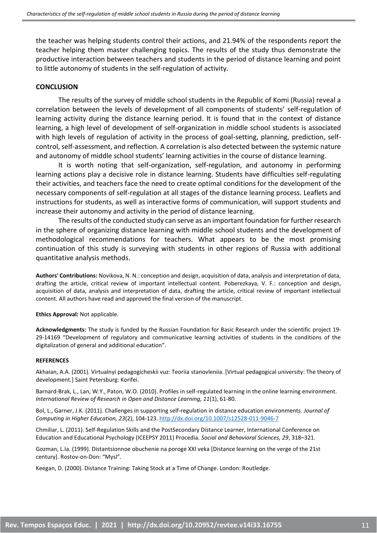the teacher was helping students control their actions, and 21.94% of the respondents report the teacher helping them master challenging topics. The results of the study thus demonstrate the productive interaction between teachers and students in the period of distance learning and point to little autonomy of students in the self-regulation of activity.

#### **CONCLUSION**

The results of the survey of middle school students in the Republic of Komi (Russia) reveal a correlation between the levels of development of all components of students' self-regulation of learning activity during the distance learning period. It is found that in the context of distance learning, a high level of development of self-organization in middle school students is associated with high levels of regulation of activity in the process of goal-setting, planning, prediction, selfcontrol, self-assessment, and reflection. A correlation is also detected between the systemic nature and autonomy of middle school students' learning activities in the course of distance learning.

It is worth noting that self-organization, self-regulation, and autonomy in performing learning actions play a decisive role in distance learning. Students have difficulties self-regulating their activities, and teachers face the need to create optimal conditions for the development of the necessary components of self-regulation at all stages of the distance learning process. Leaflets and instructions for students, as well as interactive forms of communication, will support students and increase their autonomy and activity in the period of distance learning.

The results of the conducted study can serve as an important foundation for further research in the sphere of organizing distance learning with middle school students and the development of methodological recommendations for teachers. What appears to be the most promising continuation of this study is surveying with students in other regions of Russia with additional quantitative analysis methods.

**Authors' Contributions:** Novikova, N. N.: conception and design, acquisition of data, analysis and interpretation of data, drafting the article, critical review of important intellectual content. Poberezkaya, V. F.: conception and design, acquisition of data, analysis and interpretation of data, drafting the article, critical review of important intellectual content. All authors have read and approved the final version of the manuscript.

**Ethics Approval:** Not applicable.

**Acknowledgments:** The study is funded by the Russian Foundation for Basic Research under the scientific project 19- 29-14169 "Development of regulatory and communicative learning activities of students in the conditions of the digitalization of general and additional education".

#### **REFERENCES**

Akhaian, A.A. (2001). Virtualnyi pedagogicheskii vuz: Teoriia stanovleniia. [Virtual pedagogical university: The theory of development.] Saint Petersburg: Korifei.

Barnard-Brak, L., Lan, W.Y., Paton, W.O. (2010). Profiles in self-regulated learning in the online learning environment. *International Review of Research in Open and Distance Learning, 11*(1), 61-80.

Bol, L., Garner, J.K. (2011). Challenges in supporting self-regulation in distance education environments. *Journal of Computing in Higher Education, 23*(2), 104-123.<http://dx.doi.org/10.1007/s12528-011-9046-7>

Chmiliar, L. (2011). Self-Regulation Skills and the PostSecondary Distance Learner, International Conference on Education and Educational Psychology (ICEEPSY 2011) Procedia. *Social and Behavioral Sciences, 29*, 318–321.

Gozman, L.Ia. (1999). Distantsionnoe obuchenie na poroge XXI veka [Distance learning on the verge of the 21st century]. Rostov-on-Don: "Mysl".

Keegan, D. (2000). Distance Training: Taking Stock at a Time of Change. London: Routledge.